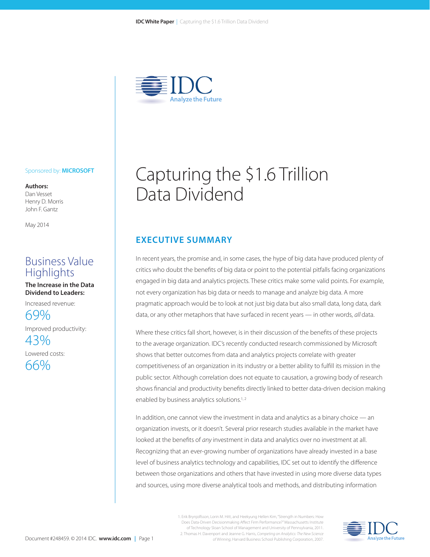

### Sponsored by: **MICROSOFT**

**Authors:** Dan Vesset Henry D. Morris John F. Gantz

May 2014

# Business Value **Highlights**

**The Increase in the Data Dividend to Leaders:** 

Increased revenue:

69% Improved productivity:

43% Lowered costs: 66%

# Capturing the \$1.6 Trillion Data Dividend

## **EXECUTIVE SUMMARY**

In recent years, the promise and, in some cases, the hype of big data have produced plenty of critics who doubt the benefits of big data or point to the potential pitfalls facing organizations engaged in big data and analytics projects. These critics make some valid points. For example, not every organization has big data or needs to manage and analyze big data. A more pragmatic approach would be to look at not just big data but also small data, long data, dark data, or any other metaphors that have surfaced in recent years — in other words, *all* data.

Where these critics fall short, however, is in their discussion of the benefits of these projects to the average organization. IDC's recently conducted research commissioned by Microsoft shows that better outcomes from data and analytics projects correlate with greater competitiveness of an organization in its industry or a better ability to fulfill its mission in the public sector. Although correlation does not equate to causation, a growing body of research shows financial and productivity benefits directly linked to better data-driven decision making enabled by business analytics solutions.<sup>1,2</sup>

In addition, one cannot view the investment in data and analytics as a binary choice — an organization invests, or it doesn't. Several prior research studies available in the market have looked at the benefits of *any* investment in data and analytics over no investment at all. Recognizing that an ever-growing number of organizations have already invested in a base level of business analytics technology and capabilities, IDC set out to identify the difference between those organizations and others that have invested in using more diverse data types and sources, using more diverse analytical tools and methods, and distributing information

> 1. Erik Brynjolfsson, Lorin M. Hitt, and Heekyung Hellen Kim, "Strength in Numbers: How Does Data-Driven Decisionmaking Affect Firm Performance?" Massachusetts Institute of Technology Sloan School of Management and University of Pennsylvania, 2011. 2. Thomas H. Davenport and Jeanne G. Harris, *Competing on Analytics: The New Science of Winning*, Harvard Business School Publishing Corporation, 2007.

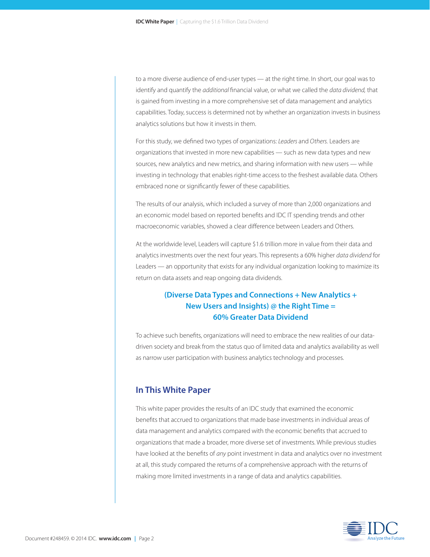to a more diverse audience of end-user types — at the right time. In short, our goal was to identify and quantify the *additional* financial value, or what we called the *data dividend,* that is gained from investing in a more comprehensive set of data management and analytics capabilities. Today, success is determined not by whether an organization invests in business analytics solutions but how it invests in them.

For this study, we defined two types of organizations: *Leaders* and *Others.* Leaders are organizations that invested in more new capabilities — such as new data types and new sources, new analytics and new metrics, and sharing information with new users — while investing in technology that enables right-time access to the freshest available data. Others embraced none or significantly fewer of these capabilities.

The results of our analysis, which included a survey of more than 2,000 organizations and an economic model based on reported benefits and IDC IT spending trends and other macroeconomic variables, showed a clear difference between Leaders and Others.

At the worldwide level, Leaders will capture \$1.6 trillion more in value from their data and analytics investments over the next four years. This represents a 60% higher *data dividend* for Leaders — an opportunity that exists for any individual organization looking to maximize its return on data assets and reap ongoing data dividends.

# **(Diverse Data Types and Connections + New Analytics + New Users and Insights) @ the Right Time = 60% Greater Data Dividend**

To achieve such benefits, organizations will need to embrace the new realities of our datadriven society and break from the status quo of limited data and analytics availability as well as narrow user participation with business analytics technology and processes.

## **In This White Paper**

This white paper provides the results of an IDC study that examined the economic benefits that accrued to organizations that made base investments in individual areas of data management and analytics compared with the economic benefits that accrued to organizations that made a broader, more diverse set of investments. While previous studies have looked at the benefits of *any* point investment in data and analytics over no investment at all, this study compared the returns of a comprehensive approach with the returns of making more limited investments in a range of data and analytics capabilities.

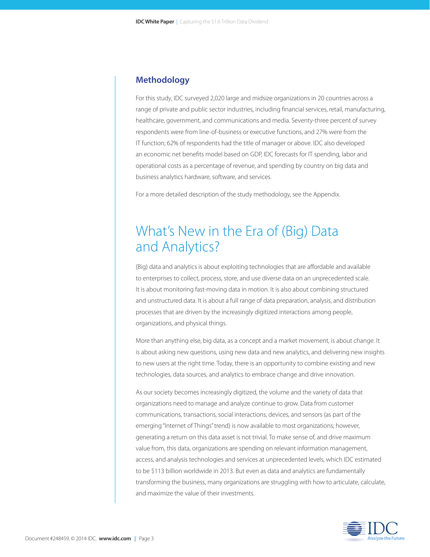### **Methodology**

For this study, IDC surveyed 2,020 large and midsize organizations in 20 countries across a range of private and public sector industries, including financial services, retail, manufacturing, healthcare, government, and communications and media. Seventy-three percent of survey respondents were from line-of-business or executive functions, and 27% were from the IT function; 62% of respondents had the title of manager or above. IDC also developed an economic net benefits model based on GDP, IDC forecasts for IT spending, labor and operational costs as a percentage of revenue, and spending by country on big data and business analytics hardware, software, and services.

For a more detailed description of the study methodology, see the Appendix.

# What's New in the Era of (Big) Data and Analytics?

(Big) data and analytics is about exploiting technologies that are affordable and available to enterprises to collect, process, store, and use diverse data on an unprecedented scale. It is about monitoring fast-moving data in motion. It is also about combining structured and unstructured data. It is about a full range of data preparation, analysis, and distribution processes that are driven by the increasingly digitized interactions among people, organizations, and physical things.

More than anything else, big data, as a concept and a market movement, is about change. It is about asking new questions, using new data and new analytics, and delivering new insights to new users at the right time. Today, there is an opportunity to combine existing and new technologies, data sources, and analytics to embrace change and drive innovation.

As our society becomes increasingly digitized, the volume and the variety of data that organizations need to manage and analyze continue to grow. Data from customer communications, transactions, social interactions, devices, and sensors (as part of the emerging "Internet of Things" trend) is now available to most organizations; however, generating a return on this data asset is not trivial. To make sense of, and drive maximum value from, this data, organizations are spending on relevant information management, access, and analysis technologies and services at unprecedented levels, which IDC estimated to be \$113 billion worldwide in 2013. But even as data and analytics are fundamentally transforming the business, many organizations are struggling with how to articulate, calculate, and maximize the value of their investments.

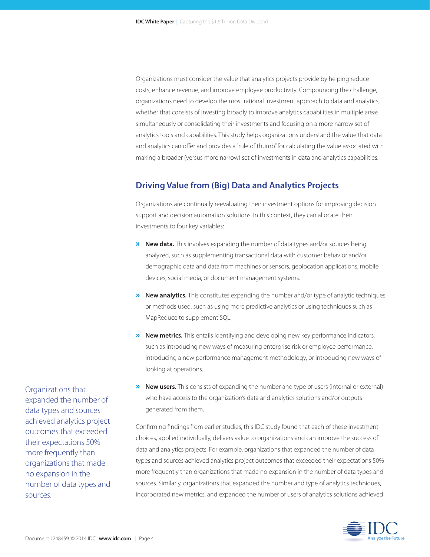Organizations must consider the value that analytics projects provide by helping reduce costs, enhance revenue, and improve employee productivity. Compounding the challenge, organizations need to develop the most rational investment approach to data and analytics, whether that consists of investing broadly to improve analytics capabilities in multiple areas simultaneously or consolidating their investments and focusing on a more narrow set of analytics tools and capabilities. This study helps organizations understand the value that data and analytics can offer and provides a "rule of thumb" for calculating the value associated with making a broader (versus more narrow) set of investments in data and analytics capabilities.

## **Driving Value from (Big) Data and Analytics Projects**

Organizations are continually reevaluating their investment options for improving decision support and decision automation solutions. In this context, they can allocate their investments to four key variables:

- » **New data.** This involves expanding the number of data types and/or sources being analyzed, such as supplementing transactional data with customer behavior and/or demographic data and data from machines or sensors, geolocation applications, mobile devices, social media, or document management systems.
- » **New analytics.** This constitutes expanding the number and/or type of analytic techniques or methods used, such as using more predictive analytics or using techniques such as MapReduce to supplement SQL.
- » **New metrics.** This entails identifying and developing new key performance indicators, such as introducing new ways of measuring enterprise risk or employee performance, introducing a new performance management methodology, or introducing new ways of looking at operations.
- **»** New users. This consists of expanding the number and type of users (internal or external) who have access to the organization's data and analytics solutions and/or outputs generated from them.

Confirming findings from earlier studies, this IDC study found that each of these investment choices, applied individually, delivers value to organizations and can improve the success of data and analytics projects. For example, organizations that expanded the number of data types and sources achieved analytics project outcomes that exceeded their expectations 50% more frequently than organizations that made no expansion in the number of data types and sources. Similarly, organizations that expanded the number and type of analytics techniques, incorporated new metrics, and expanded the number of users of analytics solutions achieved



Organizations that expanded the number of data types and sources achieved analytics project outcomes that exceeded their expectations 50% more frequently than organizations that made no expansion in the number of data types and sources.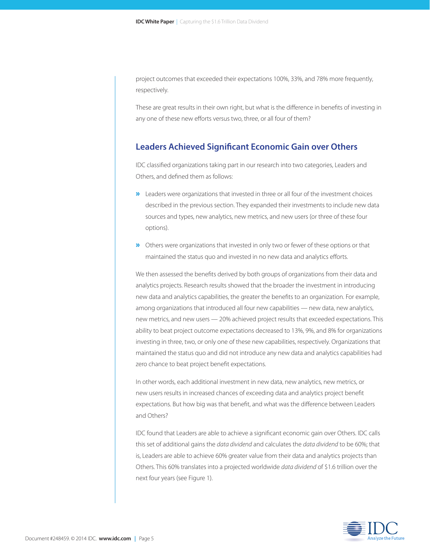project outcomes that exceeded their expectations 100%, 33%, and 78% more frequently, respectively.

These are great results in their own right, but what is the difference in benefits of investing in any one of these new efforts versus two, three, or all four of them?

### **Leaders Achieved Significant Economic Gain over Others**

IDC classified organizations taking part in our research into two categories, Leaders and Others, and defined them as follows:

- »Leaders were organizations that invested in three or all four of the investment choices described in the previous section. They expanded their investments to include new data sources and types, new analytics, new metrics, and new users (or three of these four options).
- »Others were organizations that invested in only two or fewer of these options or that maintained the status quo and invested in no new data and analytics efforts.

We then assessed the benefits derived by both groups of organizations from their data and analytics projects. Research results showed that the broader the investment in introducing new data and analytics capabilities, the greater the benefits to an organization. For example, among organizations that introduced all four new capabilities — new data, new analytics, new metrics, and new users — 20% achieved project results that exceeded expectations. This ability to beat project outcome expectations decreased to 13%, 9%, and 8% for organizations investing in three, two, or only one of these new capabilities, respectively. Organizations that maintained the status quo and did not introduce any new data and analytics capabilities had zero chance to beat project benefit expectations.

In other words, each additional investment in new data, new analytics, new metrics, or new users results in increased chances of exceeding data and analytics project benefit expectations. But how big was that benefit, and what was the difference between Leaders and Others?

IDC found that Leaders are able to achieve a significant economic gain over Others. IDC calls this set of additional gains the *data dividend* and calculates the *data dividend* to be 60%; that is, Leaders are able to achieve 60% greater value from their data and analytics projects than Others. This 60% translates into a projected worldwide *data dividend* of \$1.6 trillion over the next four years (see Figure 1).

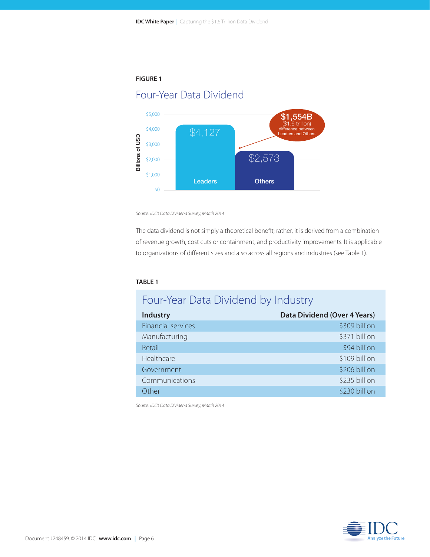

Leaders

*Source: IDC's Data Dividend Survey, March 2014*

The data dividend is not simply a theoretical benefit; rather, it is derived from a combination of revenue growth, cost cuts or containment, and productivity improvements. It is applicable to organizations of different sizes and also across all regions and industries (see Table 1).

**Others** 

#### **TABLE 1**

\$1,000

\$0

# Four-Year Data Dividend by Industry

| <b>Industry</b>           | <b>Data Dividend (Over 4 Years)</b> |
|---------------------------|-------------------------------------|
| <b>Financial services</b> | \$309 billion                       |
| Manufacturing             | \$371 billion                       |
| Retail                    | \$94 billion                        |
| Healthcare                | \$109 billion                       |
| Government                | \$206 billion                       |
| Communications            | \$235 billion                       |
| Other.                    | \$230 billion                       |
|                           |                                     |

*Source: IDC's Data Dividend Survey, March 2014*

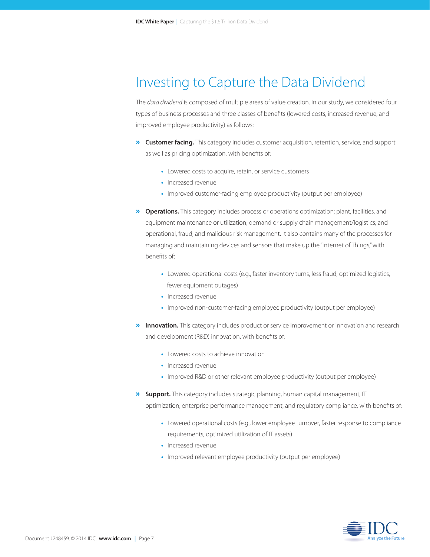# Investing to Capture the Data Dividend

The *data dividend* is composed of multiple areas of value creation. In our study, we considered four types of business processes and three classes of benefits (lowered costs, increased revenue, and improved employee productivity) as follows:

- » **Customer facing.** This category includes customer acquisition, retention, service, and support as well as pricing optimization, with benefits of:
	- Lowered costs to acquire, retain, or service customers
	- Increased revenue
	- Improved customer-facing employee productivity (output per employee)
- » **Operations.** This category includes process or operations optimization; plant, facilities, and equipment maintenance or utilization; demand or supply chain management/logistics; and operational, fraud, and malicious risk management. It also contains many of the processes for managing and maintaining devices and sensors that make up the "Internet of Things," with benefits of:
	- Lowered operational costs (e.g., faster inventory turns, less fraud, optimized logistics, fewer equipment outages)
	- Increased revenue
	- Improved non-customer-facing employee productivity (output per employee)
- **»** Innovation. This category includes product or service improvement or innovation and research and development (R&D) innovation, with benefits of:
	- Lowered costs to achieve innovation
	- Increased revenue
	- Improved R&D or other relevant employee productivity (output per employee)
- » **Support.** This category includes strategic planning, human capital management, IT optimization, enterprise performance management, and regulatory compliance, with benefits of:
	- Lowered operational costs (e.g., lower employee turnover, faster response to compliance requirements, optimized utilization of IT assets)
	- Increased revenue
	- Improved relevant employee productivity (output per employee)

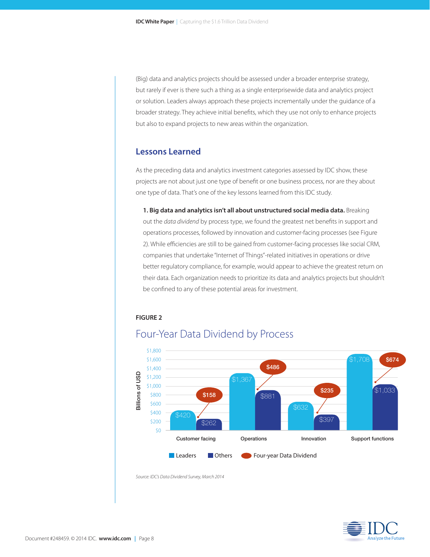(Big) data and analytics projects should be assessed under a broader enterprise strategy, but rarely if ever is there such a thing as a single enterprisewide data and analytics project or solution. Leaders always approach these projects incrementally under the guidance of a broader strategy. They achieve initial benefits, which they use not only to enhance projects but also to expand projects to new areas within the organization.

## **Lessons Learned**

As the preceding data and analytics investment categories assessed by IDC show, these projects are not about just one type of benefit or one business process, nor are they about one type of data. That's one of the key lessons learned from this IDC study.

 **1. Big data and analytics isn't all about unstructured social media data.** Breaking out the *data dividend* by process type, we found the greatest net benefits in support and operations processes, followed by innovation and customer-facing processes (see Figure 2). While efficiencies are still to be gained from customer-facing processes like social CRM, companies that undertake "Internet of Things"-related initiatives in operations or drive better regulatory compliance, for example, would appear to achieve the greatest return on their data. Each organization needs to prioritize its data and analytics projects but shouldn't be confined to any of these potential areas for investment.

### **FIGURE 2**



# Four-Year Data Dividend by Process

*Source: IDC's Data Dividend Survey, March 2014*

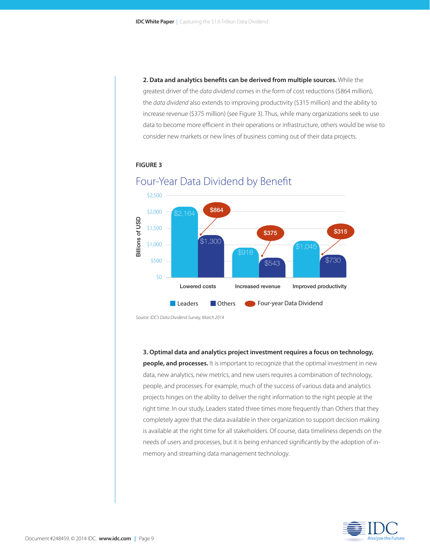**2. Data and analytics benefits can be derived from multiple sources.** While the greatest driver of the *data dividend* comes in the form of cost reductions (\$864 million), the *data dividend* also extends to improving productivity (\$315 million) and the ability to increase revenue (\$375 million) (see Figure 3). Thus, while many organizations seek to use data to become more efficient in their operations or infrastructure, others would be wise to consider new markets or new lines of business coming out of their data projects.

### **FIGURE 3**



# Four-Year Data Dividend by Benefit

*Source: IDC's Data Dividend Survey, March 2014*

#### **3. Optimal data and analytics project investment requires a focus on technology,**

**people, and processes.** It is important to recognize that the optimal investment in new data, new analytics, new metrics, and new users requires a combination of technology, people, and processes. For example, much of the success of various data and analytics projects hinges on the ability to deliver the right information to the right people at the right time. In our study, Leaders stated three times more frequently than Others that they completely agree that the data available in their organization to support decision making is available at the right time for all stakeholders. Of course, data timeliness depends on the needs of users and processes, but it is being enhanced significantly by the adoption of inmemory and streaming data management technology.

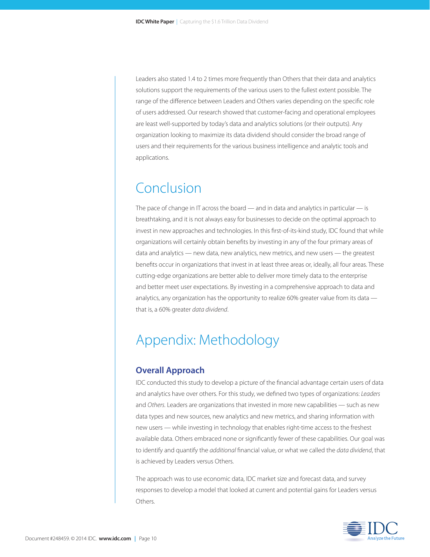Leaders also stated 1.4 to 2 times more frequently than Others that their data and analytics solutions support the requirements of the various users to the fullest extent possible. The range of the difference between Leaders and Others varies depending on the specific role of users addressed. Our research showed that customer-facing and operational employees are least well-supported by today's data and analytics solutions (or their outputs). Any organization looking to maximize its data dividend should consider the broad range of users and their requirements for the various business intelligence and analytic tools and applications.

# Conclusion

The pace of change in IT across the board  $-$  and in data and analytics in particular  $-$  is breathtaking, and it is not always easy for businesses to decide on the optimal approach to invest in new approaches and technologies. In this first-of-its-kind study, IDC found that while organizations will certainly obtain benefits by investing in any of the four primary areas of data and analytics — new data, new analytics, new metrics, and new users — the greatest benefits occur in organizations that invest in at least three areas or, ideally, all four areas. These cutting-edge organizations are better able to deliver more timely data to the enterprise and better meet user expectations. By investing in a comprehensive approach to data and analytics, any organization has the opportunity to realize 60% greater value from its data that is, a 60% greater *data dividend*.

# Appendix: Methodology

### **Overall Approach**

IDC conducted this study to develop a picture of the financial advantage certain users of data and analytics have over others. For this study, we defined two types of organizations: *Leaders*  and *Others.* Leaders are organizations that invested in more new capabilities — such as new data types and new sources, new analytics and new metrics, and sharing information with new users — while investing in technology that enables right-time access to the freshest available data. Others embraced none or significantly fewer of these capabilities. Our goal was to identify and quantify the *additional* financial value, or what we called the *data dividend*, that is achieved by Leaders versus Others.

The approach was to use economic data, IDC market size and forecast data, and survey responses to develop a model that looked at current and potential gains for Leaders versus **Others** 

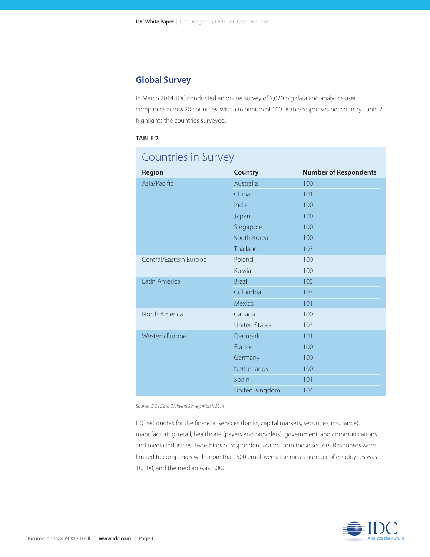# **Global Survey**

In March 2014, IDC conducted an online survey of 2,020 big data and analytics user companies across 20 countries, with a minimum of 100 usable responses per country. Table 2 highlights the countries surveyed.

### **TABLE 2**

# Countries in Survey

| Region                 | <b>Country</b>       | <b>Number of Respondents</b> |
|------------------------|----------------------|------------------------------|
| Asia/Pacific           | Australia            | 100                          |
|                        | China                | 101                          |
|                        | India                | 100                          |
|                        | Japan                | 100                          |
|                        | Singapore            | 100                          |
|                        | South Korea          | 100                          |
|                        | Thailand             | 103                          |
| Central/Eastern Europe | Poland               | 100                          |
|                        | Russia               | 100                          |
| Latin America          | <b>Brazil</b>        | 103                          |
|                        | Colombia             | 103                          |
|                        | Mexico               | 101                          |
| North America          | Canada               | 100                          |
|                        | <b>United States</b> | 103                          |
| Western Europe         | Denmark              | 101                          |
|                        | France               | 100                          |
|                        | Germany              | 100                          |
|                        | Netherlands          | 100                          |
|                        | Spain                | 101                          |
|                        | United Kingdom       | 104                          |

*Source: IDC's Data Dividend Survey, March 2014*

IDC set quotas for the financial services (banks, capital markets, securities, insurance), manufacturing, retail, healthcare (payers and providers), government, and communications and media industries. Two-thirds of respondents came from these sectors. Responses were limited to companies with more than 500 employees; the mean number of employees was 10,100, and the median was 3,000.

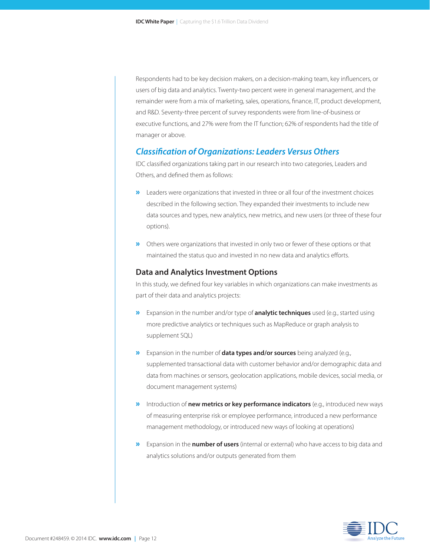Respondents had to be key decision makers, on a decision-making team, key influencers, or users of big data and analytics. Twenty-two percent were in general management, and the remainder were from a mix of marketing, sales, operations, finance, IT, product development, and R&D. Seventy-three percent of survey respondents were from line-of-business or executive functions, and 27% were from the IT function; 62% of respondents had the title of manager or above.

### *Classification of Organizations: Leaders Versus Others*

IDC classified organizations taking part in our research into two categories, Leaders and Others, and defined them as follows:

- **»** Leaders were organizations that invested in three or all four of the investment choices described in the following section. They expanded their investments to include new data sources and types, new analytics, new metrics, and new users (or three of these four options).
- **»** Others were organizations that invested in only two or fewer of these options or that maintained the status quo and invested in no new data and analytics efforts.

### **Data and Analytics Investment Options**

In this study, we defined four key variables in which organizations can make investments as part of their data and analytics projects:

- » Expansion in the number and/or type of **analytic techniques** used (e.g., started using more predictive analytics or techniques such as MapReduce or graph analysis to supplement SQL)
- » Expansion in the number of **data types and/or sources** being analyzed (e.g., supplemented transactional data with customer behavior and/or demographic data and data from machines or sensors, geolocation applications, mobile devices, social media, or document management systems)
- » Introduction of **new metrics or key performance indicators** (e.g., introduced new ways of measuring enterprise risk or employee performance, introduced a new performance management methodology, or introduced new ways of looking at operations)
- » Expansion in the **number of users** (internal or external) who have access to big data and analytics solutions and/or outputs generated from them

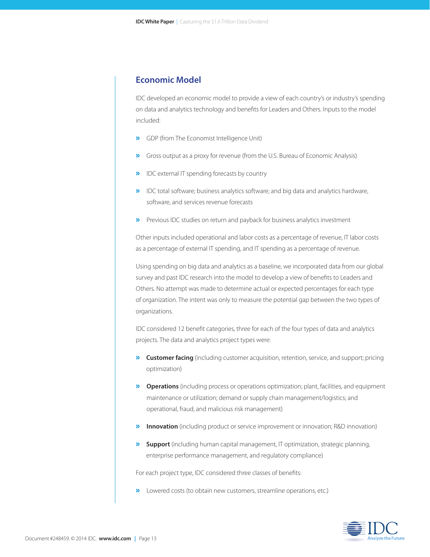## **Economic Model**

IDC developed an economic model to provide a view of each country's or industry's spending on data and analytics technology and benefits for Leaders and Others. Inputs to the model included:

- » GDP (from The Economist Intelligence Unit)
- » Gross output as a proxy for revenue (from the U.S. Bureau of Economic Analysis)
- » IDC external IT spending forecasts by country
- » IDC total software; business analytics software; and big data and analytics hardware, software, and services revenue forecasts
- » Previous IDC studies on return and payback for business analytics investment

Other inputs included operational and labor costs as a percentage of revenue, IT labor costs as a percentage of external IT spending, and IT spending as a percentage of revenue.

Using spending on big data and analytics as a baseline, we incorporated data from our global survey and past IDC research into the model to develop a view of benefits to Leaders and Others. No attempt was made to determine actual or expected percentages for each type of organization. The intent was only to measure the potential gap between the two types of organizations.

IDC considered 12 benefit categories, three for each of the four types of data and analytics projects. The data and analytics project types were:

- » **Customer facing** (including customer acquisition, retention, service, and support; pricing optimization)
- » **Operations** (including process or operations optimization; plant, facilities, and equipment maintenance or utilization; demand or supply chain management/logistics; and operational, fraud, and malicious risk management)
- **» Innovation** (including product or service improvement or innovation; R&D innovation)
- » **Support** (including human capital management, IT optimization, strategic planning, enterprise performance management, and regulatory compliance)

For each project type, IDC considered three classes of benefits:

**»** Lowered costs (to obtain new customers, streamline operations, etc.)